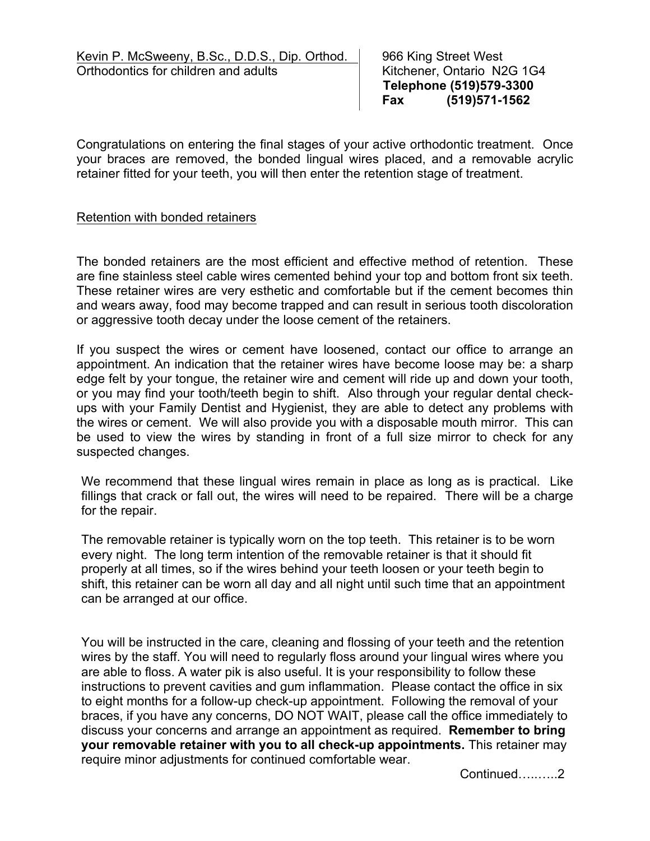**Telephone (519)579-3300 Fax (519)571-1562**

Congratulations on entering the final stages of your active orthodontic treatment. Once your braces are removed, the bonded lingual wires placed, and a removable acrylic retainer fitted for your teeth, you will then enter the retention stage of treatment.

#### Retention with bonded retainers

The bonded retainers are the most efficient and effective method of retention. These are fine stainless steel cable wires cemented behind your top and bottom front six teeth. These retainer wires are very esthetic and comfortable but if the cement becomes thin and wears away, food may become trapped and can result in serious tooth discoloration or aggressive tooth decay under the loose cement of the retainers.

If you suspect the wires or cement have loosened, contact our office to arrange an appointment. An indication that the retainer wires have become loose may be: a sharp edge felt by your tongue, the retainer wire and cement will ride up and down your tooth, or you may find your tooth/teeth begin to shift. Also through your regular dental checkups with your Family Dentist and Hygienist, they are able to detect any problems with the wires or cement. We will also provide you with a disposable mouth mirror. This can be used to view the wires by standing in front of a full size mirror to check for any suspected changes.

We recommend that these lingual wires remain in place as long as is practical. Like fillings that crack or fall out, the wires will need to be repaired. There will be a charge for the repair.

The removable retainer is typically worn on the top teeth. This retainer is to be worn every night. The long term intention of the removable retainer is that it should fit properly at all times, so if the wires behind your teeth loosen or your teeth begin to shift, this retainer can be worn all day and all night until such time that an appointment can be arranged at our office.

You will be instructed in the care, cleaning and flossing of your teeth and the retention wires by the staff. You will need to regularly floss around your lingual wires where you are able to floss. A water pik is also useful. It is your responsibility to follow these instructions to prevent cavities and gum inflammation. Please contact the office in six to eight months for a follow-up check-up appointment.Following the removal of your braces, if you have any concerns, DO NOT WAIT, please call the office immediately to discuss your concerns and arrange an appointment as required. **Remember to bring your removable retainer with you to all check-up appointments.** This retainer may require minor adjustments for continued comfortable wear.

Continued…..…..2